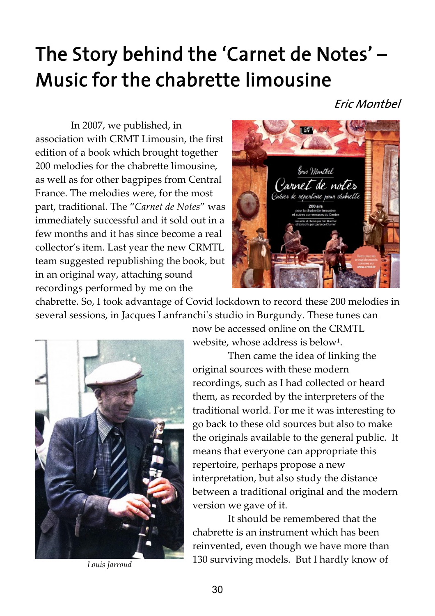# The Story behind the 'Carnet de Notes' -Music for the chabrette limousine

**Eric Montbel** 

In 2007, we published, in association with CRMT Limousin, the first edition of a book which brought together 200 melodies for the chabrette limousine, as well as for other bagpipes from Central France. The melodies were, for the most part, traditional. The "Carnet de Notes" was immediately successful and it sold out in a few months and it has since become a real collector's item. Last year the new CRMTL team suggested republishing the book, but in an original way, attaching sound recordings performed by me on the



chabrette. So, I took advantage of Covid lockdown to record these 200 melodies in several sessions, in Jacques Lanfranchi's studio in Burgundy. These tunes can



now be accessed online on the CRMTL website, whose address is below<sup>1</sup>.

Then came the idea of linking the original sources with these modern recordings, such as I had collected or heard them, as recorded by the interpreters of the traditional world. For me it was interesting to go back to these old sources but also to make the originals available to the general public. It means that everyone can appropriate this repertoire, perhaps propose a new interpretation, but also study the distance between a traditional original and the modern version we gave of it.

It should be remembered that the chabrette is an instrument which has been reinvented, even though we have more than 130 surviving models. But I hardly know of Louis Jarroud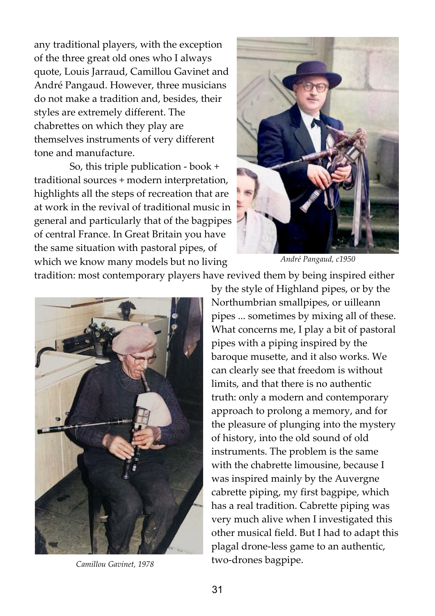any traditional players, with the exception of the three great old ones who I always quote, Louis Jarraud, Camillou Gavinet and André Pangaud. However, three musicians do not make a tradition and, besides, their styles are extremely different. The chabrettes on which they play are themselves instruments of very different tone and manufacture.

So, this triple publication - book + traditional sources + modern interpretation, highlights all the steps of recreation that are at work in the revival of traditional music in general and particularly that of the bagpipes of central France. In Great Britain you have the same situation with pastoral pipes, of which we know many models but no living



André Pangaud, c1950

tradition: most contemporary players have revived them by being inspired either



Camillou Gavinet, 1978

by the style of Highland pipes, or by the Northumbrian smallpipes, or uilleann pipes ... sometimes by mixing all of these. What concerns me, I play a bit of pastoral pipes with a piping inspired by the baroque musette, and it also works. We can clearly see that freedom is without limits, and that there is no authentic truth: only a modern and contemporary approach to prolong a memory, and for the pleasure of plunging into the mystery of history, into the old sound of old instruments. The problem is the same with the chabrette limousine, because I was inspired mainly by the Auvergne cabrette piping, my first bagpipe, which has a real tradition. Cabrette piping was very much alive when I investigated this other musical field. But I had to adapt this plagal drone-less game to an authentic, two-drones bagpipe.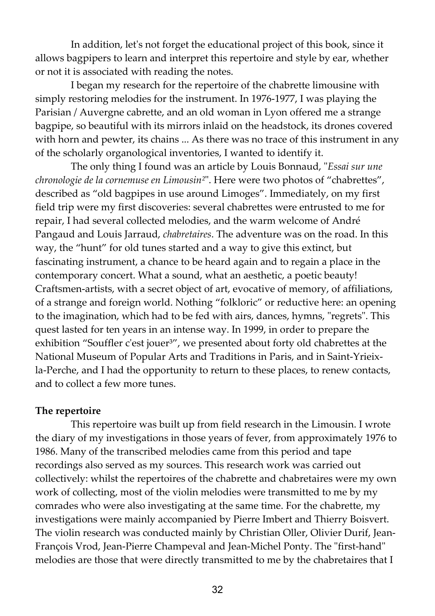In addition, let's not forget the educational project of this book, since it allows bagpipers to learn and interpret this repertoire and style by ear, whether or not it is associated with reading the notes.

I began my research for the repertoire of the chabrette limousine with simply restoring melodies for the instrument. In 1976-1977, I was playing the Parisian / Auvergne cabrette, and an old woman in Lyon offered me a strange bagpipe, so beautiful with its mirrors inlaid on the headstock, its drones covered with horn and pewter, its chains ... As there was no trace of this instrument in any of the scholarly organological inventories, I wanted to identify it.

The only thing I found was an article by Louis Bonnaud, "Essai sur une chronologie de la cornemuse en Limousin<sup>2"</sup>. Here were two photos of "chabrettes", described as "old bagpipes in use around Limoges". Immediately, on my first field trip were my first discoveries: several chabrettes were entrusted to me for repair, I had several collected melodies, and the warm welcome of André Pangaud and Louis Jarraud, chabretaires. The adventure was on the road. In this way, the "hunt" for old tunes started and a way to give this extinct, but fascinating instrument, a chance to be heard again and to regain a place in the contemporary concert. What a sound, what an aesthetic, a poetic beauty! Craftsmen-artists, with a secret object of art, evocative of memory, of affiliations, of a strange and foreign world. Nothing "folkloric" or reductive here: an opening to the imagination, which had to be fed with airs, dances, hymns, "regrets". This quest lasted for ten years in an intense way. In 1999, in order to prepare the exhibition "Souffler c'est jouer<sup>3"</sup>, we presented about forty old chabrettes at the National Museum of Popular Arts and Traditions in Paris, and in Saint-Yrieixla-Perche, and I had the opportunity to return to these places, to renew contacts, and to collect a few more tunes.

#### The repertoire

This repertoire was built up from field research in the Limousin. I wrote the diary of my investigations in those years of fever, from approximately 1976 to 1986. Many of the transcribed melodies came from this period and tape recordings also served as my sources. This research work was carried out collectively: whilst the repertoires of the chabrette and chabretaires were my own work of collecting, most of the violin melodies were transmitted to me by my comrades who were also investigating at the same time. For the chabrette, my investigations were mainly accompanied by Pierre Imbert and Thierry Boisvert. The violin research was conducted mainly by Christian Oller, Olivier Durif, Jean-François Vrod, Jean-Pierre Champeval and Jean-Michel Ponty. The "first-hand" melodies are those that were directly transmitted to me by the chabretaires that I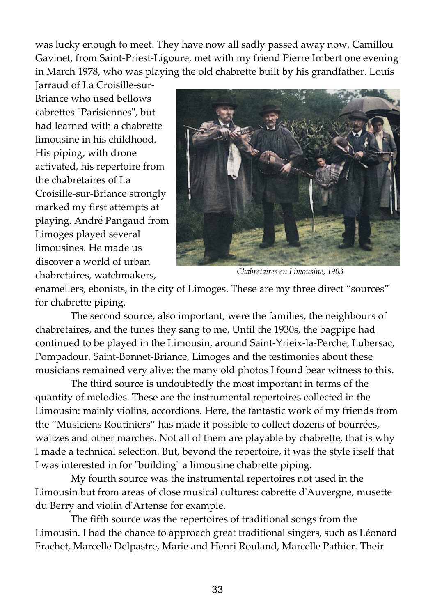was lucky enough to meet. They have now all sadly passed away now. Camillou Gavinet, from Saint-Priest-Ligoure, met with my friend Pierre Imbert one evening in March 1978, who was playing the old chabrette built by his grandfather. Louis

Jarraud of La Croisille-sur-Briance who used bellows cabrettes "Parisiennes", but had learned with a chabrette limousine in his childhood. His piping, with drone activated, his repertoire from the chabretaires of La Croisille-sur-Briance strongly marked my first attempts at playing. André Pangaud from Limoges played several limousines. He made us discover a world of urban chabretaires, watchmakers,



Chabretaires en Limousine, 1903

enamellers, ebonists, in the city of Limoges. These are my three direct "sources" for chabrette piping.

The second source, also important, were the families, the neighbours of chabretaires, and the tunes they sang to me. Until the 1930s, the bagpipe had continued to be played in the Limousin, around Saint-Yrieix-la-Perche, Lubersac, Pompadour, Saint-Bonnet-Briance, Limoges and the testimonies about these musicians remained very alive: the many old photos I found bear witness to this.

The third source is undoubtedly the most important in terms of the quantity of melodies. These are the instrumental repertoires collected in the Limousin: mainly violins, accordions. Here, the fantastic work of my friends from the "Musiciens Routiniers" has made it possible to collect dozens of bourrées, waltzes and other marches. Not all of them are playable by chabrette, that is why I made a technical selection. But, beyond the repertoire, it was the style itself that I was interested in for "building" a limousine chabrette piping.

My fourth source was the instrumental repertoires not used in the Limousin but from areas of close musical cultures: cabrette d'Auvergne, musette du Berry and violin d'Artense for example.

The fifth source was the repertoires of traditional songs from the Limousin. I had the chance to approach great traditional singers, such as Léonard Frachet, Marcelle Delpastre, Marie and Henri Rouland, Marcelle Pathier. Their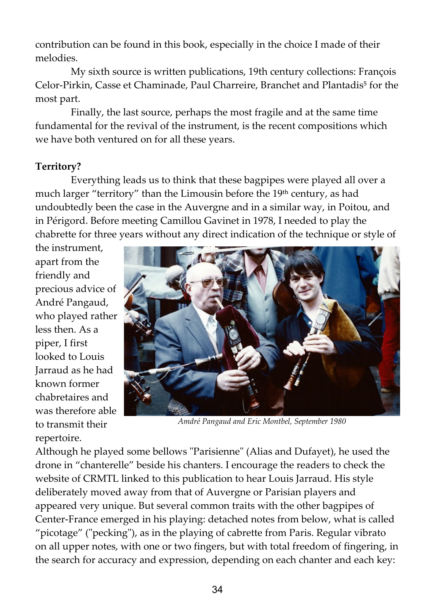contribution can be found in this book, especially in the choice I made of their melodies.

My sixth source is written publications, 19th century collections: François Celor-Pirkin, Casse et Chaminade, Paul Charreire, Branchet and Plantadis<sup>5</sup> for the most part.

Finally, the last source, perhaps the most fragile and at the same time fundamental for the revival of the instrument, is the recent compositions which we have both ventured on for all these years.

## Territory?

Everything leads us to think that these bagpipes were played all over a much larger "territory" than the Limousin before the 19<sup>th</sup> century, as had undoubtedly been the case in the Auvergne and in a similar way, in Poitou, and in Périgord. Before meeting Camillou Gavinet in 1978, I needed to play the chabrette for three years without any direct indication of the technique or style of

the instrument, apart from the friendly and precious advice of André Pangaud, who played rather less then. As a piper, I first looked to Louis Jarraud as he had known former chabretaires and was therefore able to transmit their repertoire.



Amdré Pangaud and Eric Montbel, September 1980

Although he played some bellows "Parisienne" (Alias and Dufayet), he used the drone in "chanterelle" beside his chanters. I encourage the readers to check the website of CRMTL linked to this publication to hear Louis Jarraud. His style deliberately moved away from that of Auvergne or Parisian players and appeared very unique. But several common traits with the other bagpipes of Center-France emerged in his playing: detached notes from below, what is called "picotage" ("pecking"), as in the playing of cabrette from Paris. Regular vibrato on all upper notes, with one or two fingers, but with total freedom of fingering, in the search for accuracy and expression, depending on each chanter and each key: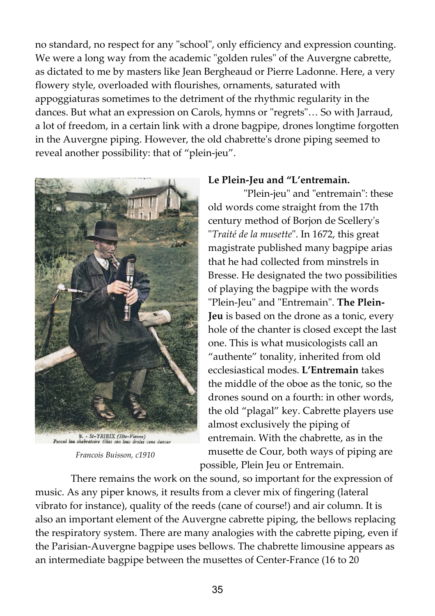no standard, no respect for any "school", only efficiency and expression counting. We were a long way from the academic "golden rules" of the Auvergne cabrette, as dictated to me by masters like Jean Bergheaud or Pierre Ladonne. Here, a very flowery style, overloaded with flourishes, ornaments, saturated with appoggiaturas sometimes to the detriment of the rhythmic regularity in the dances. But what an expression on Carols, hymns or "regrets"… So with Jarraud, a lot of freedom, in a certain link with a drone bagpipe, drones longtime forgotten in the Auvergne piping. However, the old chabrette's drone piping seemed to reveal another possibility: that of "plein-jeu".



Francois Buisson, c1910

#### Le Plein-Jeu and "L'entremain.

"Plein-jeu" and "entremain": these old words come straight from the 17th century method of Borjon de Scellery's "Traité de la musette". In 1672, this great magistrate published many bagpipe arias that he had collected from minstrels in Bresse. He designated the two possibilities of playing the bagpipe with the words "Plein-Jeu" and "Entremain". The Plein-Jeu is based on the drone as a tonic, every hole of the chanter is closed except the last one. This is what musicologists call an "authente" tonality, inherited from old ecclesiastical modes. L'Entremain takes the middle of the oboe as the tonic, so the drones sound on a fourth: in other words, the old "plagal" key. Cabrette players use almost exclusively the piping of entremain. With the chabrette, as in the musette de Cour, both ways of piping are possible, Plein Jeu or Entremain.

There remains the work on the sound, so important for the expression of music. As any piper knows, it results from a clever mix of fingering (lateral vibrato for instance), quality of the reeds (cane of course!) and air column. It is also an important element of the Auvergne cabrette piping, the bellows replacing the respiratory system. There are many analogies with the cabrette piping, even if the Parisian-Auvergne bagpipe uses bellows. The chabrette limousine appears as an intermediate bagpipe between the musettes of Center-France (16 to 20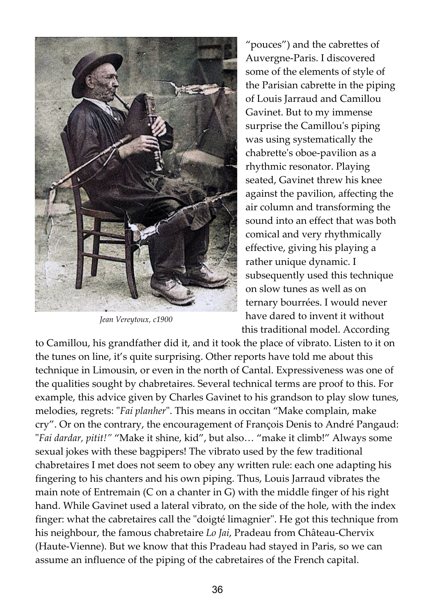

Jean Vereytoux, c1900

"pouces") and the cabrettes of Auvergne-Paris. I discovered some of the elements of style of the Parisian cabrette in the piping of Louis Jarraud and Camillou Gavinet. But to my immense surprise the Camillou's piping was using systematically the chabrette's oboe-pavilion as a rhythmic resonator. Playing seated, Gavinet threw his knee against the pavilion, affecting the air column and transforming the sound into an effect that was both comical and very rhythmically effective, giving his playing a rather unique dynamic. I subsequently used this technique on slow tunes as well as on ternary bourrées. I would never have dared to invent it without this traditional model. According

to Camillou, his grandfather did it, and it took the place of vibrato. Listen to it on the tunes on line, it's quite surprising. Other reports have told me about this technique in Limousin, or even in the north of Cantal. Expressiveness was one of the qualities sought by chabretaires. Several technical terms are proof to this. For example, this advice given by Charles Gavinet to his grandson to play slow tunes, melodies, regrets: "Fai planher". This means in occitan "Make complain, make cry". Or on the contrary, the encouragement of François Denis to André Pangaud: "Fai dardar, pitit!" "Make it shine, kid", but also… "make it climb!" Always some sexual jokes with these bagpipers! The vibrato used by the few traditional chabretaires I met does not seem to obey any written rule: each one adapting his fingering to his chanters and his own piping. Thus, Louis Jarraud vibrates the main note of Entremain (C on a chanter in G) with the middle finger of his right hand. While Gavinet used a lateral vibrato, on the side of the hole, with the index finger: what the cabretaires call the "doigté limagnier". He got this technique from his neighbour, the famous chabretaire Lo Jai, Pradeau from Château-Chervix (Haute-Vienne). But we know that this Pradeau had stayed in Paris, so we can assume an influence of the piping of the cabretaires of the French capital.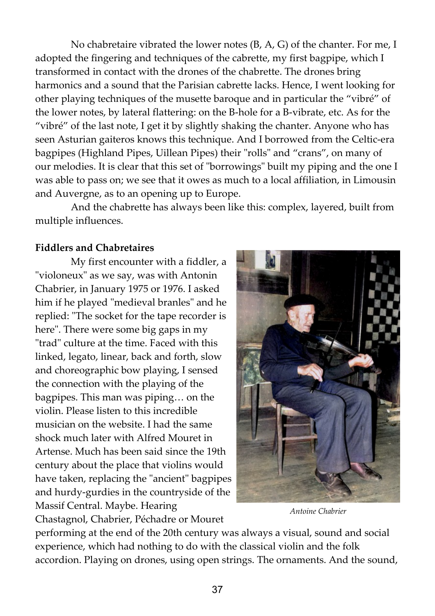No chabretaire vibrated the lower notes (B, A, G) of the chanter. For me, I adopted the fingering and techniques of the cabrette, my first bagpipe, which I transformed in contact with the drones of the chabrette. The drones bring harmonics and a sound that the Parisian cabrette lacks. Hence, I went looking for other playing techniques of the musette baroque and in particular the "vibré" of the lower notes, by lateral flattering: on the B-hole for a B-vibrate, etc. As for the "vibré" of the last note, I get it by slightly shaking the chanter. Anyone who has seen Asturian gaiteros knows this technique. And I borrowed from the Celtic-era bagpipes (Highland Pipes, Uillean Pipes) their "rolls" and "crans", on many of our melodies. It is clear that this set of "borrowings" built my piping and the one I was able to pass on; we see that it owes as much to a local affiliation, in Limousin and Auvergne, as to an opening up to Europe.

And the chabrette has always been like this: complex, layered, built from multiple influences.

### Fiddlers and Chabretaires

My first encounter with a fiddler, a "violoneux" as we say, was with Antonin Chabrier, in January 1975 or 1976. I asked him if he played "medieval branles" and he replied: "The socket for the tape recorder is here". There were some big gaps in my "trad" culture at the time. Faced with this linked, legato, linear, back and forth, slow and choreographic bow playing, I sensed the connection with the playing of the bagpipes. This man was piping… on the violin. Please listen to this incredible musician on the website. I had the same shock much later with Alfred Mouret in Artense. Much has been said since the 19th century about the place that violins would have taken, replacing the "ancient" bagpipes and hurdy-gurdies in the countryside of the Massif Central. Maybe. Hearing Chastagnol, Chabrier, Péchadre or Mouret



Antoine Chabrier

performing at the end of the 20th century was always a visual, sound and social experience, which had nothing to do with the classical violin and the folk accordion. Playing on drones, using open strings. The ornaments. And the sound,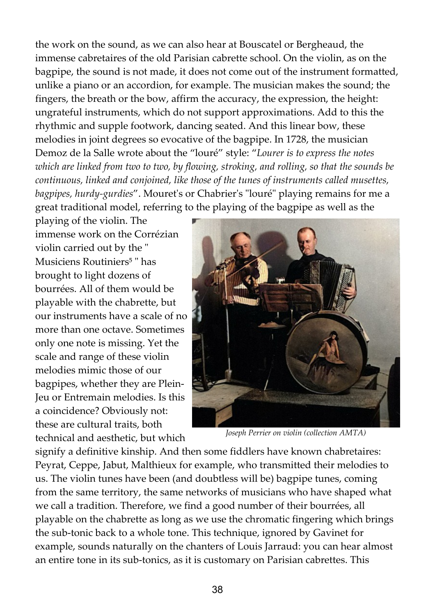the work on the sound, as we can also hear at Bouscatel or Bergheaud, the immense cabretaires of the old Parisian cabrette school. On the violin, as on the bagpipe, the sound is not made, it does not come out of the instrument formatted, unlike a piano or an accordion, for example. The musician makes the sound; the fingers, the breath or the bow, affirm the accuracy, the expression, the height: ungrateful instruments, which do not support approximations. Add to this the rhythmic and supple footwork, dancing seated. And this linear bow, these melodies in joint degrees so evocative of the bagpipe. In 1728, the musician Demoz de la Salle wrote about the "louré" style: "Lourer is to express the notes which are linked from two to two, by flowing, stroking, and rolling, so that the sounds be continuous, linked and conjoined, like those of the tunes of instruments called musettes, bagpipes, hurdy-gurdies". Mouret's or Chabrier's "louré" playing remains for me a great traditional model, referring to the playing of the bagpipe as well as the

playing of the violin. The immense work on the Corrézian violin carried out by the " Musiciens Routiniers<sup>5</sup> " has brought to light dozens of bourrées. All of them would be playable with the chabrette, but our instruments have a scale of no more than one octave. Sometimes only one note is missing. Yet the scale and range of these violin melodies mimic those of our bagpipes, whether they are Plein-Jeu or Entremain melodies. Is this a coincidence? Obviously not: these are cultural traits, both technical and aesthetic, but which



Joseph Perrier on violin (collection AMTA)

signify a definitive kinship. And then some fiddlers have known chabretaires: Peyrat, Ceppe, Jabut, Malthieux for example, who transmitted their melodies to us. The violin tunes have been (and doubtless will be) bagpipe tunes, coming from the same territory, the same networks of musicians who have shaped what we call a tradition. Therefore, we find a good number of their bourrées, all playable on the chabrette as long as we use the chromatic fingering which brings the sub-tonic back to a whole tone. This technique, ignored by Gavinet for example, sounds naturally on the chanters of Louis Jarraud: you can hear almost an entire tone in its sub-tonics, as it is customary on Parisian cabrettes. This